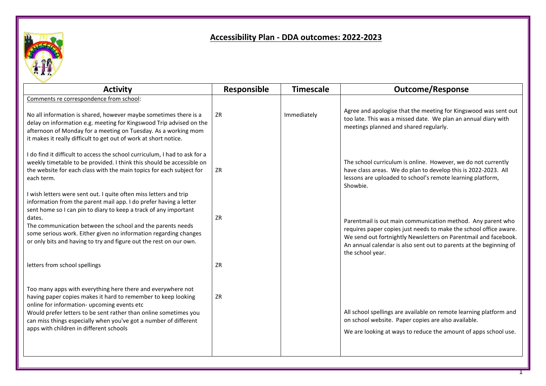

## **Accessibility Plan - DDA outcomes: 2022-2023**

| <b>Activity</b>                                                                                                                                                                                                                                                                                                                                                                                                              | Responsible | <b>Timescale</b> | <b>Outcome/Response</b>                                                                                                                                                                                                                                                                       |
|------------------------------------------------------------------------------------------------------------------------------------------------------------------------------------------------------------------------------------------------------------------------------------------------------------------------------------------------------------------------------------------------------------------------------|-------------|------------------|-----------------------------------------------------------------------------------------------------------------------------------------------------------------------------------------------------------------------------------------------------------------------------------------------|
| Comments re correspondence from school:<br>No all information is shared, however maybe sometimes there is a<br>delay on information e.g. meeting for Kingswood Trip advised on the<br>afternoon of Monday for a meeting on Tuesday. As a working mom<br>it makes it really difficult to get out of work at short notice.                                                                                                     | ZR          | Immediately      | Agree and apologise that the meeting for Kingswood was sent out<br>too late. This was a missed date. We plan an annual diary with<br>meetings planned and shared regularly.                                                                                                                   |
| I do find it difficult to access the school curriculum, I had to ask for a<br>weekly timetable to be provided. I think this should be accessible on<br>the website for each class with the main topics for each subject for<br>each term.                                                                                                                                                                                    | ZR          |                  | The school curriculum is online. However, we do not currently<br>have class areas. We do plan to develop this is 2022-2023. All<br>lessons are uploaded to school's remote learning platform,<br>Showbie.                                                                                     |
| I wish letters were sent out. I quite often miss letters and trip<br>information from the parent mail app. I do prefer having a letter<br>sent home so I can pin to diary to keep a track of any important<br>dates.<br>The communication between the school and the parents needs<br>some serious work. Either given no information regarding changes<br>or only bits and having to try and figure out the rest on our own. | <b>ZR</b>   |                  | Parentmail is out main communication method. Any parent who<br>requires paper copies just needs to make the school office aware.<br>We send out fortnightly Newsletters on Parentmail and facebook.<br>An annual calendar is also sent out to parents at the beginning of<br>the school year. |
| letters from school spellings                                                                                                                                                                                                                                                                                                                                                                                                | <b>ZR</b>   |                  |                                                                                                                                                                                                                                                                                               |
| Too many apps with everything here there and everywhere not<br>having paper copies makes it hard to remember to keep looking<br>online for information- upcoming events etc<br>Would prefer letters to be sent rather than online sometimes you<br>can miss things especially when you've got a number of different<br>apps with children in different schools                                                               | ZR          |                  | All school spellings are available on remote learning platform and<br>on school website. Paper copies are also available.<br>We are looking at ways to reduce the amount of apps school use.                                                                                                  |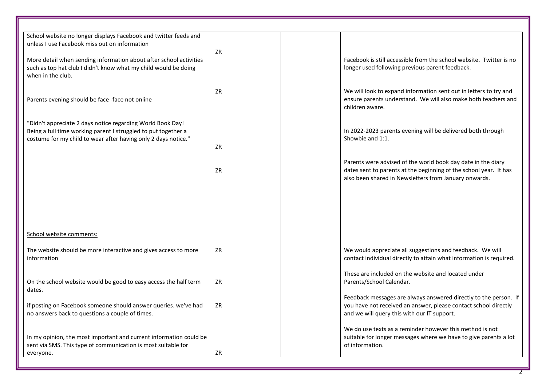| School website no longer displays Facebook and twitter feeds and<br>unless I use Facebook miss out on information<br>More detail when sending information about after school activities<br>such as top hat club I didn't know what my child would be doing<br>when in the club.<br>Parents evening should be face -face not online<br>"Didn't appreciate 2 days notice regarding World Book Day!<br>Being a full time working parent I struggled to put together a<br>costume for my child to wear after having only 2 days notice." | ZR<br>ZR<br>ZR<br>ZR | Facebook is still accessible from the school website. Twitter is no<br>longer used following previous parent feedback.<br>We will look to expand information sent out in letters to try and<br>ensure parents understand. We will also make both teachers and<br>children aware.<br>In 2022-2023 parents evening will be delivered both through<br>Showbie and 1:1.<br>Parents were advised of the world book day date in the diary<br>dates sent to parents at the beginning of the school year. It has<br>also been shared in Newsletters from January onwards. |
|--------------------------------------------------------------------------------------------------------------------------------------------------------------------------------------------------------------------------------------------------------------------------------------------------------------------------------------------------------------------------------------------------------------------------------------------------------------------------------------------------------------------------------------|----------------------|-------------------------------------------------------------------------------------------------------------------------------------------------------------------------------------------------------------------------------------------------------------------------------------------------------------------------------------------------------------------------------------------------------------------------------------------------------------------------------------------------------------------------------------------------------------------|
| School website comments:<br>The website should be more interactive and gives access to more<br>information                                                                                                                                                                                                                                                                                                                                                                                                                           | ZR                   | We would appreciate all suggestions and feedback. We will<br>contact individual directly to attain what information is required.                                                                                                                                                                                                                                                                                                                                                                                                                                  |
| On the school website would be good to easy access the half term<br>dates.<br>if posting on Facebook someone should answer queries. we've had<br>no answers back to questions a couple of times.                                                                                                                                                                                                                                                                                                                                     | ZR<br>ZR             | These are included on the website and located under<br>Parents/School Calendar.<br>Feedback messages are always answered directly to the person. If<br>you have not received an answer, please contact school directly<br>and we will query this with our IT support.                                                                                                                                                                                                                                                                                             |
| In my opinion, the most important and current information could be<br>sent via SMS. This type of communication is most suitable for<br>everyone.                                                                                                                                                                                                                                                                                                                                                                                     | ZR                   | We do use texts as a reminder however this method is not<br>suitable for longer messages where we have to give parents a lot<br>of information.                                                                                                                                                                                                                                                                                                                                                                                                                   |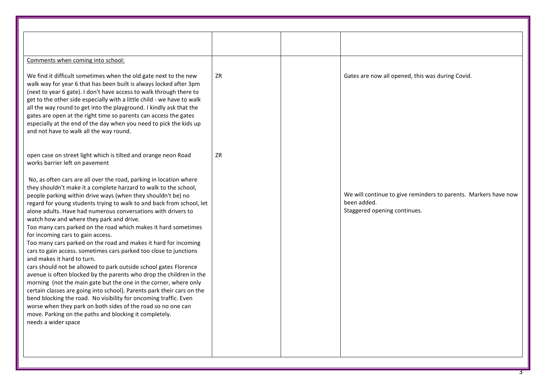| Comments when coming into school:<br>We find it difficult sometimes when the old gate next to the new<br>ZR<br>Gates are now all opened, this was during Covid.<br>walk way for year 6 that has been built is always locked after 3pm<br>(next to year 6 gate). I don't have access to walk through there to<br>get to the other side especially with a little child - we have to walk<br>all the way round to get into the playground. I kindly ask that the<br>gates are open at the right time so parents can access the gates<br>especially at the end of the day when you need to pick the kids up<br>and not have to walk all the way round.<br>ZR<br>open case on street light which is tilted and orange neon Road<br>works barrier left on pavement<br>No, as often cars are all over the road, parking in location where<br>they shouldn't make it a complete harzard to walk to the school,<br>people parking within drive ways (when they shouldn't be) no<br>been added.<br>regard for young students trying to walk to and back from school, let<br>Staggered opening continues.<br>alone adults. Have had numerous conversations with drivers to<br>watch how and where they park and drive.<br>Too many cars parked on the road which makes it hard sometimes<br>for incoming cars to gain access.<br>Too many cars parked on the road and makes it hard for incoming<br>cars to gain access. sometimes cars parked too close to junctions<br>and makes it hard to turn.<br>cars should not be allowed to park outside school gates Florence<br>avenue is often blocked by the parents who drop the children in the<br>morning (not the main gate but the one in the corner, where only |                                                                        |                                                                 |
|---------------------------------------------------------------------------------------------------------------------------------------------------------------------------------------------------------------------------------------------------------------------------------------------------------------------------------------------------------------------------------------------------------------------------------------------------------------------------------------------------------------------------------------------------------------------------------------------------------------------------------------------------------------------------------------------------------------------------------------------------------------------------------------------------------------------------------------------------------------------------------------------------------------------------------------------------------------------------------------------------------------------------------------------------------------------------------------------------------------------------------------------------------------------------------------------------------------------------------------------------------------------------------------------------------------------------------------------------------------------------------------------------------------------------------------------------------------------------------------------------------------------------------------------------------------------------------------------------------------------------------------------------------------------------------------------------------|------------------------------------------------------------------------|-----------------------------------------------------------------|
|                                                                                                                                                                                                                                                                                                                                                                                                                                                                                                                                                                                                                                                                                                                                                                                                                                                                                                                                                                                                                                                                                                                                                                                                                                                                                                                                                                                                                                                                                                                                                                                                                                                                                                         |                                                                        |                                                                 |
|                                                                                                                                                                                                                                                                                                                                                                                                                                                                                                                                                                                                                                                                                                                                                                                                                                                                                                                                                                                                                                                                                                                                                                                                                                                                                                                                                                                                                                                                                                                                                                                                                                                                                                         |                                                                        |                                                                 |
|                                                                                                                                                                                                                                                                                                                                                                                                                                                                                                                                                                                                                                                                                                                                                                                                                                                                                                                                                                                                                                                                                                                                                                                                                                                                                                                                                                                                                                                                                                                                                                                                                                                                                                         |                                                                        |                                                                 |
|                                                                                                                                                                                                                                                                                                                                                                                                                                                                                                                                                                                                                                                                                                                                                                                                                                                                                                                                                                                                                                                                                                                                                                                                                                                                                                                                                                                                                                                                                                                                                                                                                                                                                                         |                                                                        |                                                                 |
| bend blocking the road. No visibility for oncoming traffic. Even<br>worse when they park on both sides of the road so no one can<br>move. Parking on the paths and blocking it completely.<br>needs a wider space                                                                                                                                                                                                                                                                                                                                                                                                                                                                                                                                                                                                                                                                                                                                                                                                                                                                                                                                                                                                                                                                                                                                                                                                                                                                                                                                                                                                                                                                                       | certain classes are going into school). Parents park their cars on the | We will continue to give reminders to parents. Markers have now |